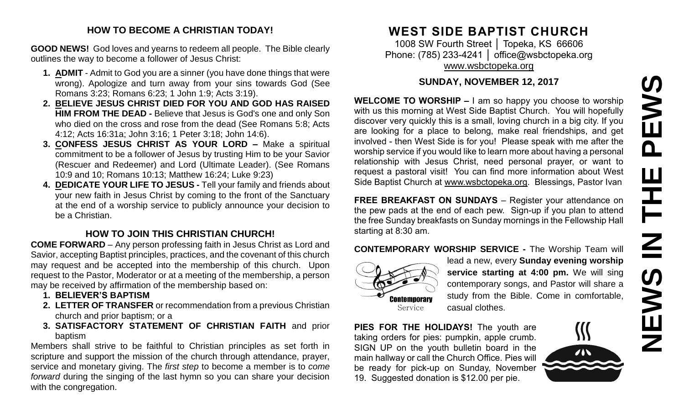#### **HOW TO BECOME A CHRISTIAN TODAY!**

**GOOD NEWS!** God loves and yearns to redeem all people. The Bible clearly outlines the way to become a follower of Jesus Christ:

- **1. ADMIT** Admit to God you are a sinner (you have done things that were wrong). Apologize and turn away from your sins towards God (See Romans 3:23; Romans 6:23; 1 John 1:9; Acts 3:19).
- **2. BELIEVE JESUS CHRIST DIED FOR YOU AND GOD HAS RAISED HIM FROM THE DEAD -** Believe that Jesus is God's one and only Son who died on the cross and rose from the dead (See Romans 5:8; Acts 4:12; Acts 16:31a; John 3:16; 1 Peter 3:18; John 14:6).
- **3. CONFESS JESUS CHRIST AS YOUR LORD –** Make a spiritual commitment to be a follower of Jesus by trusting Him to be your Savior (Rescuer and Redeemer) and Lord (Ultimate Leader). (See Romans 10:9 and 10; Romans 10:13; Matthew 16:24; Luke 9:23)
- **4. DEDICATE YOUR LIFE TO JESUS -** Tell your family and friends about your new faith in Jesus Christ by coming to the front of the Sanctuary at the end of a worship service to publicly announce your decision to be a Christian.

### **HOW TO JOIN THIS CHRISTIAN CHURCH!**

**COME FORWARD** – Any person professing faith in Jesus Christ as Lord and Savior, accepting Baptist principles, practices, and the covenant of this church may request and be accepted into the membership of this church. Upon request to the Pastor, Moderator or at a meeting of the membership, a person may be received by affirmation of the membership based on:

- **1. BELIEVER'S BAPTISM**
- **2. LETTER OF TRANSFER** or recommendation from a previous Christian church and prior baptism; or a
- **3. SATISFACTORY STATEMENT OF CHRISTIAN FAITH** and prior baptism

Members shall strive to be faithful to Christian principles as set forth in scripture and support the mission of the church through attendance, prayer, service and monetary giving. The *first step* to become a member is to *come forward* during the singing of the last hymn so you can share your decision with the congregation.

## **WEST SIDE BAPTIST CHURCH**

1008 SW Fourth Street │ Topeka, KS 66606 Phone: (785) 233-4241 | [office@wsbctopeka.org](mailto:office@wsbctopeka.org) [www.wsbctopeka.org](http://www.wsbctopeka.org/)

#### **SUNDAY, NOVEMBER 12, 2017**

**WELCOME TO WORSHIP –** I am so happy you choose to worship with us this morning at West Side Baptist Church. You will hopefully discover very quickly this is a small, loving church in a big city. If you are looking for a place to belong, make real friendships, and get involved - then West Side is for you! Please speak with me after the worship service if you would like to learn more about having a personal relationship with Jesus Christ, need personal prayer, or want to request a pastoral visit! You can find more information about West Side Baptist Church at [www.wsbctopeka.org.](http://www.wsbctopeka.org/) Blessings, Pastor Ivan SUNDAY, NOVEMBER 12, 2017<br>
WELGOME TO WORSHIP – I am so happy you choose to worship<br>
with us this morning at West Side Baptist Church. You will hopefully<br>
discover very quickly this is a small, loving church in a big city.

**FREE BREAKFAST ON SUNDAYS** – Register your attendance on the pew pads at the end of each pew. Sign-up if you plan to attend the free Sunday breakfasts on Sunday mornings in the Fellowship Hall starting at 8:30 am.

#### **CONTEMPORARY WORSHIP SERVICE -** The Worship Team will



lead a new, every **Sunday evening worship service starting at 4:00 pm.** We will sing contemporary songs, and Pastor will share a study from the Bible. Come in comfortable, casual clothes.

**PIES FOR THE HOLIDAYS!** The youth are taking orders for pies: pumpkin, apple crumb. SIGN UP on the youth bulletin board in the main hallway or call the Church Office. Pies will be ready for pick-up on Sunday, November

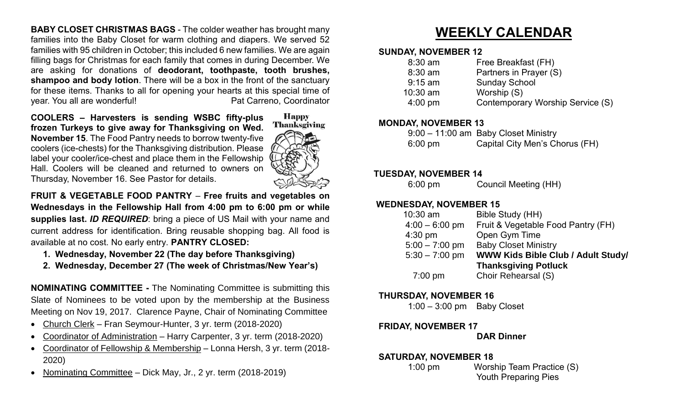**BABY CLOSET CHRISTMAS BAGS** - The colder weather has brought many families into the Baby Closet for warm clothing and diapers. We served 52 families with 95 children in October; this included 6 new families. We are again filling bags for Christmas for each family that comes in during December. We are asking for donations of **deodorant, toothpaste, tooth brushes, shampoo and body lotion**. There will be a box in the front of the sanctuary for these items. Thanks to all for opening your hearts at this special time of year. You all are wonderful! example and the Pat Carreno, Coordinator

**COOLERS – Harvesters is sending WSBC fifty-plus frozen Turkeys to give away for Thanksgiving on Wed. November 15**. The Food Pantry needs to borrow twenty-five coolers (ice-chests) for the Thanksgiving distribution. Please label your cooler/ice-chest and place them in the Fellowship Hall. Coolers will be cleaned and returned to owners on Thursday, November 16. See Pastor for details.



**FRUIT & VEGETABLE FOOD PANTRY** – **Free fruits and vegetables on Wednesdays in the Fellowship Hall from 4:00 pm to 6:00 pm or while supplies last.** *ID REQUIRED*: bring a piece of US Mail with your name and current address for identification. Bring reusable shopping bag. All food is available at no cost. No early entry. **PANTRY CLOSED:**

- **1. Wednesday, November 22 (The day before Thanksgiving)**
- **2. Wednesday, December 27 (The week of Christmas/New Year's)**

**NOMINATING COMMITTEE -** The Nominating Committee is submitting this Slate of Nominees to be voted upon by the membership at the Business Meeting on Nov 19, 2017. Clarence Payne, Chair of Nominating Committee

- Church Clerk Fran Seymour-Hunter, 3 yr. term (2018-2020)
- Coordinator of Administration Harry Carpenter, 3 yr. term (2018-2020)
- Coordinator of Fellowship & Membership Lonna Hersh, 3 yr. term (2018- 2020)
- Nominating Committee Dick May, Jr., 2 yr. term (2018-2019)

# **WEEKLY CALENDAR**

#### **SUNDAY, NOVEMBER 12**

| $8:30$ am         | Free Breakfast (FH)              |
|-------------------|----------------------------------|
| $8:30$ am         | Partners in Prayer (S)           |
| $9:15$ am         | <b>Sunday School</b>             |
| $10:30$ am        | Worship (S)                      |
| $4:00 \text{ pm}$ | Contemporary Worship Service (S) |
|                   |                                  |

#### **MONDAY, NOVEMBER 13**

|                   | 9:00 - 11:00 am Baby Closet Ministry |
|-------------------|--------------------------------------|
| $6:00 \text{ pm}$ | Capital City Men's Chorus (FH)       |

#### **TUESDAY, NOVEMBER 14**

6:00 pm Council Meeting (HH)

#### **WEDNESDAY, NOVEMBER 15**

| $10:30$ am        | Bible Study (HH)                          |
|-------------------|-------------------------------------------|
| $4:00 - 6:00$ pm  | Fruit & Vegetable Food Pantry (FH)        |
| $4:30$ pm         | Open Gym Time                             |
| $5:00 - 7:00$ pm  | <b>Baby Closet Ministry</b>               |
| $5:30 - 7:00$ pm  | <b>WWW Kids Bible Club / Adult Study/</b> |
|                   | <b>Thanksgiving Potluck</b>               |
| $7:00 \text{ pm}$ | Choir Rehearsal (S)                       |

#### **THURSDAY, NOVEMBER 16**

1:00 – 3:00 pm Baby Closet

#### **FRIDAY, NOVEMBER 17**

#### **DAR Dinner**

#### **SATURDAY, NOVEMBER 18**

 1:00 pm Worship Team Practice (S) Youth Preparing Pies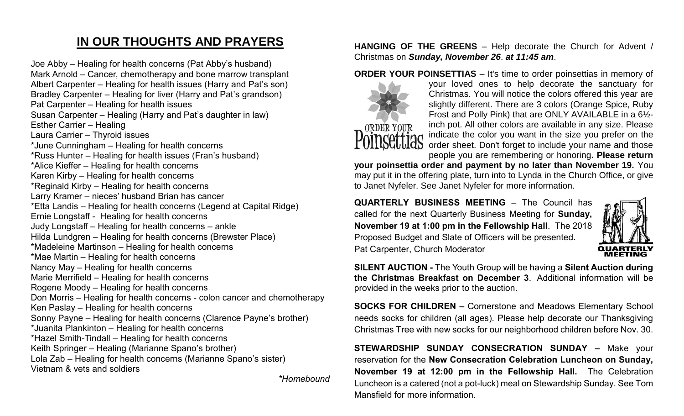## **IN OUR THOUGHTS AND PRAYERS**

Joe Abby – Healing for health concerns (Pat Abby's husband) Mark Arnold – Cancer, chemotherapy and bone marrow transplant Albert Carpenter – Healing for health issues (Harry and Pat's son) Bradley Carpenter – Healing for liver (Harry and Pat's grandson) Pat Carpenter – Healing for health issues Susan Carpenter – Healing (Harry and Pat's daughter in law) Esther Carrier – Healing Laura Carrier – Thyroid issues \*June Cunningham – Healing for health concerns \*Russ Hunter – Healing for health issues (Fran's husband) \*Alice Kieffer – Healing for health concerns Karen Kirby – Healing for health concerns \*Reginald Kirby – Healing for health concerns Larry Kramer – nieces' husband Brian has cancer \*Etta Landis – Healing for health concerns (Legend at Capital Ridge) Ernie Longstaff - Healing for health concerns Judy Longstaff – Healing for health concerns – ankle Hilda Lundgren – Healing for health concerns (Brewster Place) \*Madeleine Martinson – Healing for health concerns \*Mae Martin – Healing for health concerns Nancy May – Healing for health concerns Marie Merrifield – Healing for health concerns Rogene Moody – Healing for health concerns Don Morris – Healing for health concerns - colon cancer and chemotherapy Ken Paslay – Healing for health concerns Sonny Payne – Healing for health concerns (Clarence Payne's brother) \*Juanita Plankinton – Healing for health concerns \*Hazel Smith-Tindall – Healing for health concerns Keith Springer – Healing (Marianne Spano's brother) Lola Zab – Healing for health concerns (Marianne Spano's sister) Vietnam & vets and soldiers

*\*Homebound*

#### **HANGING OF THE GREENS** – Help decorate the Church for Advent / Christmas on *Sunday, November 26*. *at 11:45 am*.

**ORDER YOUR POINSETTIAS** – It's time to order poinsettias in memory of



your loved ones to help decorate the sanctuary for Christmas. You will notice the colors offered this year are slightly different. There are 3 colors (Orange Spice, Ruby Frost and Polly Pink) that are ONLY AVAILABLE in a 6½ inch pot. All other colors are available in any size. Please indicate the color you want in the size you prefer on the order sheet. Don't forget to include your name and those

people you are remembering or honoring**. Please return your poinsettia order and payment by no later than November 19.** You may put it in the offering plate, turn into to Lynda in the Church Office, or give to Janet Nyfeler. See Janet Nyfeler for more information.

**QUARTERLY BUSINESS MEETING** – The Council has called for the next Quarterly Business Meeting for **Sunday, November 19 at 1:00 pm in the Fellowship Hall**. The 2018 Proposed Budget and Slate of Officers will be presented. Pat Carpenter, Church Moderator



**SILENT AUCTION -** The Youth Group will be having a **Silent Auction during the Christmas Breakfast on December 3**. Additional information will be provided in the weeks prior to the auction.

**SOCKS FOR CHILDREN –** Cornerstone and Meadows Elementary School needs socks for children (all ages). Please help decorate our Thanksgiving Christmas Tree with new socks for our neighborhood children before Nov. 30.

**STEWARDSHIP SUNDAY CONSECRATION SUNDAY –** Make your reservation for the **New Consecration Celebration Luncheon on Sunday, November 19 at 12:00 pm in the Fellowship Hall.** The Celebration Luncheon is a catered (not a pot-luck) meal on Stewardship Sunday. See Tom Mansfield for more information.